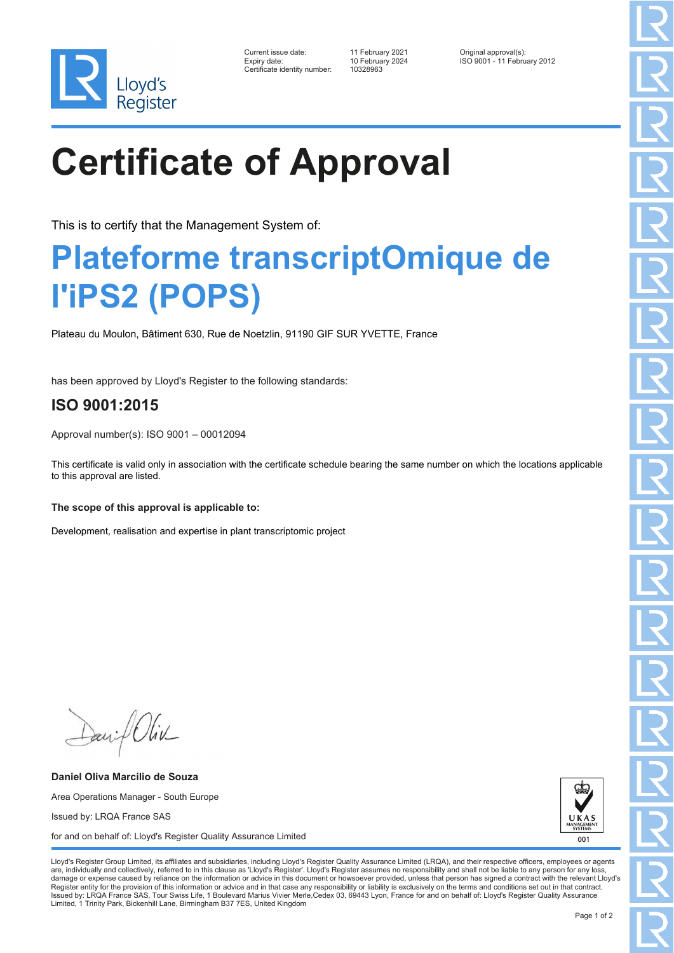

| Current issue date:         |
|-----------------------------|
| Expiry date:                |
| Certificate identity number |

10 February 2024<br>10328963

Current issue date: 11 February 2021 Original approval(s): Expiry date: 10 February 2024 ISO 9001 - 11 February 2012

# **Certificate of Approval**

This is to certify that the Management System of:

### **Plateforme transcriptOmique de l'iPS2 (POPS)**

Plateau du Moulon, Bâtiment 630, Rue de Noetzlin, 91190 GIF SUR YVETTE, France

has been approved by Lloyd's Register to the following standards:

### **ISO 9001:2015**

Approval number(s): ISO 9001 – 00012094

This certificate is valid only in association with the certificate schedule bearing the same number on which the locations applicable to this approval are listed.

#### **The scope of this approval is applicable to:**

Development, realisation and expertise in plant transcriptomic project

Daniel Oliv

**Daniel Oliva Marcilio de Souza** Area Operations Manager - South Europe Issued by: LRQA France SAS for and on behalf of: Lloyd's Register Quality Assurance Limited



Lloyd's Register Group Limited, its affiliates and subsidiaries, including Lloyd's Register Quality Assurance Limited (LRQA), and their respective officers, employees or agents are, individually and collectively, referred to in this clause as 'Lloyd's Register'. Lloyd's Register assumes no responsibility and shall not be liable to any person for any los damage or expense caused by reliance on the information or advice in this document or howsoever provided, unless that person has signed a contract with the relevant Lloyd's<br>Register entity for the provision of this informa Issued by: LRQA France SAS, Tour Swiss Life, 1 Boulevard Marius Vivier Merle,Cedex 03, 69443 Lyon, France for and on behalf of: Lloyd's Register Quality Assurance Limited, 1 Trinity Park, Bickenhill Lane, Birmingham B37 7ES, United Kingdom